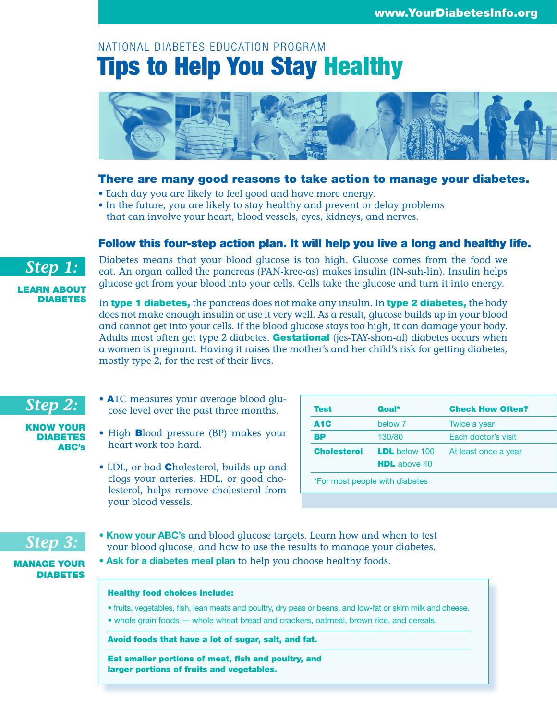# NATIONAL DIABETES EDUCATION PROGRAM Tips to Help You Stay Healthy



### There are many good reasons to take action to manage your diabetes.

- Each day you are likely to feel good and have more energy.
- In the future, you are likely to stay healthy and prevent or delay problems that can involve your heart, blood vessels, eyes, kidneys, and nerves.

### Follow this four-step action plan. It will help you live a long and healthy life.

Diabetes means that your blood glucose is too high. Glucose comes from the food we eat. An organ called the pancreas (PAN-kree-as) makes insulin (IN-suh-lin). Insulin helps glucose get from your blood into your cells. Cells take the glucose and turn it into energy.

In type 1 diabetes, the pancreas does not make any insulin. In type 2 diabetes, the body does not make enough insulin or use it very well. As a result, glucose builds up in your blood and cannot get into your cells. If the blood glucose stays too high, it can damage your body. Adults most often get type 2 diabetes. **Gestational** (jes-TAY-shon-al) diabetes occurs when a women is pregnant. Having it raises the mother's and her child's risk for getting diabetes, mostly type 2, for the rest of their lives.

- A1C measures your average blood glucose level over the past three months.
- High Blood pressure (BP) makes your heart work too hard.
	- LDL, or bad **C**holesterol, builds up and clogs your arteries. HDL, or good cholesterol, helps remove cholesterol from your blood vessels.

| <b>Test</b>        | Goal*                 | <b>Check How Often?</b> |  |  |
|--------------------|-----------------------|-------------------------|--|--|
| A <sub>1</sub> C   | below 7               | Twice a year            |  |  |
| ВP                 | 130/80                | Each doctor's visit     |  |  |
| <b>Cholesterol</b> | <b>LDL</b> below 100  | At least once a year    |  |  |
|                    | <b>HDL</b> above $40$ |                         |  |  |

- **Know your ABC's** and blood glucose targets. Learn how and when to test your blood glucose, and how to use the results to manage your diabetes.
- MANAGE YOUR DIABETES

*Step 3:*

**• Ask for a diabetes meal plan** to help you choose healthy foods.

#### Healthy food choices include:

- fruits, vegetables, fish, lean meats and poultry, dry peas or beans, and low-fat or skim milk and cheese.
- whole grain foods whole wheat bread and crackers, oatmeal, brown rice, and cereals.

Avoid foods that have a lot of sugar, salt, and fat.

Eat smaller portions of meat, fish and poultry, and larger portions of fruits and vegetables.

# *Step 1:*

LEARN ABOUT DIABETES

*Step 2:*

KNOW YOUR DIABETES ABC's